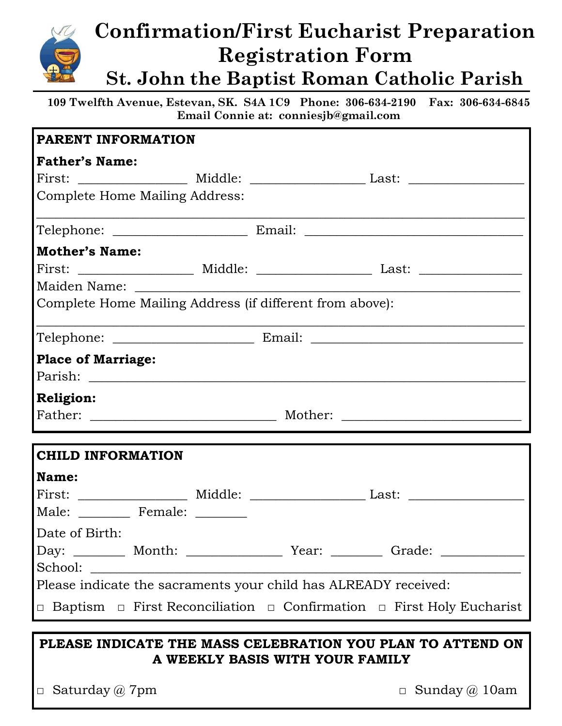

## **Confirmation/First Eucharist Preparation Registration Form St. John the Baptist Roman Catholic Parish**

**109 Twelfth Avenue, Estevan, SK. S4A 1C9 Phone: 306-634-2190 Fax: 306-634-6845 Email Connie at: conniesjb@gmail.com**

| <b>PARENT INFORMATION</b>                                       |                                       |                                                                                            |
|-----------------------------------------------------------------|---------------------------------------|--------------------------------------------------------------------------------------------|
| <b>Father's Name:</b>                                           |                                       |                                                                                            |
|                                                                 |                                       |                                                                                            |
|                                                                 | <b>Complete Home Mailing Address:</b> |                                                                                            |
|                                                                 |                                       |                                                                                            |
| <b>Mother's Name:</b>                                           |                                       |                                                                                            |
|                                                                 |                                       |                                                                                            |
|                                                                 |                                       |                                                                                            |
| Complete Home Mailing Address (if different from above):        |                                       |                                                                                            |
|                                                                 |                                       |                                                                                            |
| <b>Place of Marriage:</b>                                       |                                       |                                                                                            |
|                                                                 |                                       |                                                                                            |
| <b>Religion:</b>                                                |                                       |                                                                                            |
|                                                                 |                                       |                                                                                            |
| <b>CHILD INFORMATION</b>                                        |                                       |                                                                                            |
| Name:                                                           |                                       |                                                                                            |
|                                                                 |                                       |                                                                                            |
|                                                                 | Male: _________ Female: _______       |                                                                                            |
| Date of Birth:                                                  |                                       |                                                                                            |
|                                                                 |                                       | Day: _________ Month: ___________________ Year: __________ Grade: ______________           |
|                                                                 |                                       |                                                                                            |
| Please indicate the sacraments your child has ALREADY received: |                                       |                                                                                            |
|                                                                 |                                       | $\Box$ Baptism $\Box$ First Reconciliation $\Box$ Confirmation $\Box$ First Holy Eucharist |
| PLEASE INDICATE THE MASS CELEBRATION YOU PLAN TO ATTEND ON      |                                       |                                                                                            |

## **PLEASE INDICATE THE MASS CELEBRATION YOU PLAN TO ATTEND ON A WEEKLY BASIS WITH YOUR FAMILY**

 $\Box$  Saturday @ 7pm  $\Box$  Sunday @ 10am